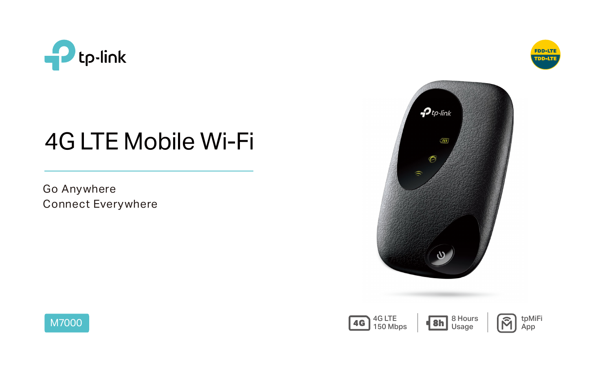

# 4G LTE Mobile Wi-Fi



Go Anywhere Connect Everywhere









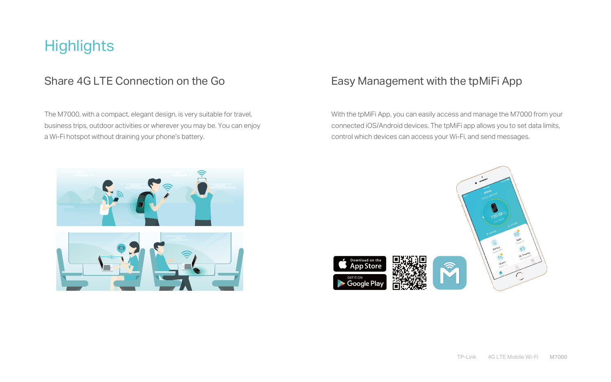The M7000, with a compact, elegant design, is very suitable for travel, business trips, outdoor activities or wherever you may be. You can enjoy a Wi-Fi hotspot without draining your phone's battery.

## **Highlights**

### Share 4G LTE Connection on the Go

With the tpMiFi App, you can easily access and manage the M7000 from your connected iOS/Android devices. The tpMiFi app allows you to set data limits, control which devices can access your Wi-Fi, and send messages.





## Easy Management with the tpMiFi App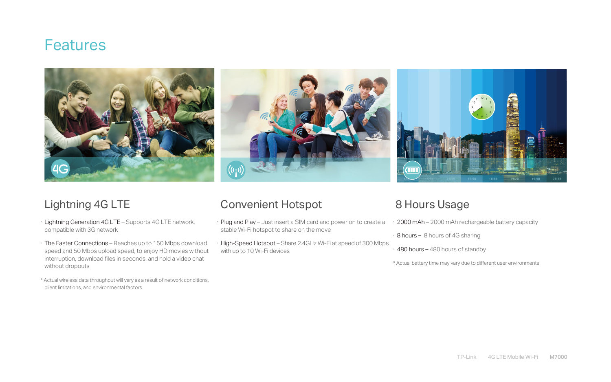- · Lightning Generation 4G LTE Supports 4G LTE network, compatible with 3G network
- · The Faster Connections Reaches up to 150 Mbps download speed and 50 Mbps upload speed, to enjoy HD movies without interruption, download files in seconds, and hold a video chat without dropouts
- \* Actual wireless data throughput will vary as a result of network conditions, client limitations, and environmental factors

## Lightning 4G LTE Convenient Hotspot 8 Hours Usage

- · Plug and Play Just insert a SIM card and power on to create a stable Wi-Fi hotspot to share on the move · 2000 mAh – 2000 mAh rechargeable battery capacity
- · High-Speed Hotspot Share 2.4GHz Wi-Fi at speed of 300 Mbps with up to 10 Wi-Fi devices · 480 hours – 480 hours of standby

- · 8 hours 8 hours of 4G sharing
- \* Actual battery time may vary due to different user environments

## Features